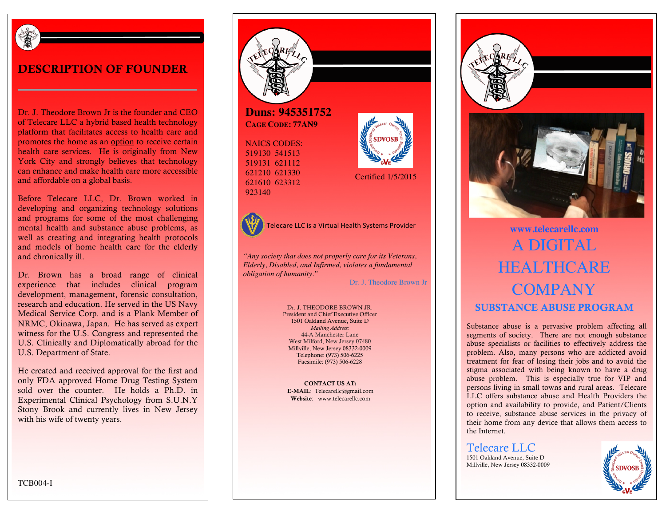

#### DESCRIPTION OF FOUNDER

Dr. J. Theodore Brown Jr is the founder and CEO of Telecare LLC a hybrid based health technology platform that facilitates access to health care and promotes the home as an option to receive certain health care services. He is originally from New York City and strongly believes that technology can enhance and make health care more accessible and affordable on a global basis.

Before Telecare LLC, Dr. Brown worked in developing and organizing technology solutions and programs for some of the most challenging mental health and substance abuse problems, as well as creating and integrating health protocols and models of home health care for the elderly and chronically ill.

Dr. Brown has a broad range of clinical experience that includes clinical program development, management, forensic consultation, research and education. He served in the US Navy Medical Service Corp. and is a Plank Member of NRMC, Okinawa, Japan. He has served as expert witness for the U.S. Congress and represented the U.S. Clinically and Diplomatically abroad for the U.S. Department of State.

He created and received approval for the first and only FDA approved Home Drug Testing System sold over the counter. He holds a Ph.D. in Experimental Clinical Psychology from S.U.N.Y Stony Brook and currently lives in New Jersey with his wife of twenty years.

**Duns: 945351752 CAGE CODE: 77AN9**

NAICS CODES: 519130 541513 519131 621112 621210 621330 621610 623312 923140





Telecare LLC is a Virtual Health Systems Provider **With Line and Convention With Line and With Line and With Line and With Line and With Line and With Line and With Line and With Line and With Line and With Line and With L** 

*"Any society that does not properly care for its Veterans, Elderly, Disabled, and Infirmed, violates a fundamental obligation of humanity."*

Dr. J. Theodore Brown Jr

Certified 1/5/2015

Dr. J. THEODORE BROWN JR. President and Chief Executive Officer 1501 Oakland Avenue, Suite D *Mailing Address:* 44-A Manchester Lane West Milford, New Jersey 07480 Millville, New Jersey 08332-0009 Telephone: (973) 506-6225 Facsimile: (973) 506-6228

CONTACT US AT: E-MAIL: Telecarellc@gmail.com Website: www.telecarellc.com





# A DIGITAL **HEALTHCARE COMPANY** SUBSTANCE ABUSE PROGRAM

Substance abuse is a pervasive problem affecting all segments of society. There are not enough substance abuse specialists or facilities to effectively address the problem. Also, many persons who are addicted avoid treatment for fear of losing their jobs and to avoid the stigma associated with being known to have a drug abuse problem. This is especially true for VIP and persons living in small towns and rural areas. Telecare LLC offers substance abuse and Health Providers the option and availability to provide, and Patient/Clients to receive, substance abuse services in the privacy of their home from any device that allows them access to the Internet.

Telecare LLC 1501 Oakland Avenue, Suite D Millville, New Jersey 08332-0009



TCB004-I